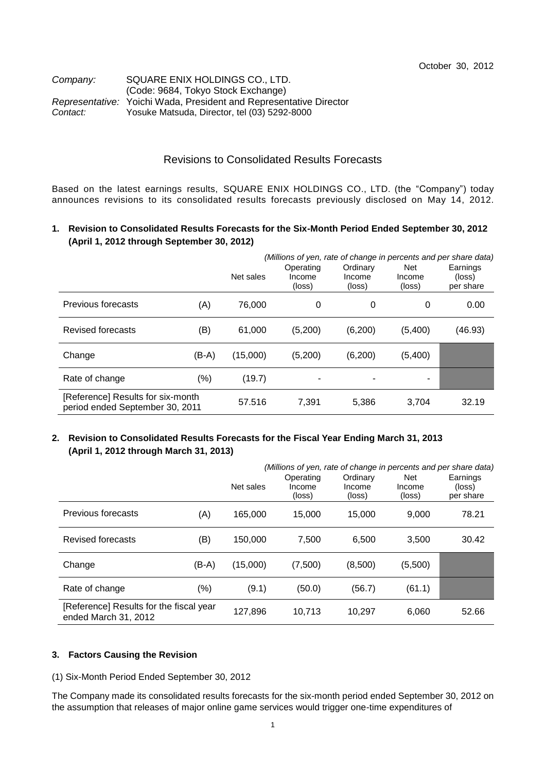### *Company:* SQUARE ENIX HOLDINGS CO., LTD. (Code: 9684, Tokyo Stock Exchange) *Representative:* Yoichi Wada, President and Representative Director *Contact:* Yosuke Matsuda, Director, tel (03) 5292-8000

# Revisions to Consolidated Results Forecasts

Based on the latest earnings results, SQUARE ENIX HOLDINGS CO., LTD. (the "Company") today announces revisions to its consolidated results forecasts previously disclosed on May 14, 2012.

## **1. Revision to Consolidated Results Forecasts for the Six-Month Period Ended September 30, 2012 (April 1, 2012 through September 30, 2012)**

|                                                                      |       | Net sales | (Millions of yen, rate of change in percents and per share data)<br>Operating<br>Income<br>(loss) | Ordinary<br>Income<br>(loss) | <b>Net</b><br>Income<br>(loss) | Earnings<br>(loss)<br>per share |
|----------------------------------------------------------------------|-------|-----------|---------------------------------------------------------------------------------------------------|------------------------------|--------------------------------|---------------------------------|
| Previous forecasts                                                   | (A)   | 76.000    | 0                                                                                                 | 0                            | 0                              | 0.00                            |
| <b>Revised forecasts</b>                                             | (B)   | 61,000    | (5,200)                                                                                           | (6,200)                      | (5,400)                        | (46.93)                         |
| Change                                                               | (B-A) | (15,000)  | (5,200)                                                                                           | (6,200)                      | (5,400)                        |                                 |
| Rate of change                                                       | (% )  | (19.7)    |                                                                                                   |                              | $\blacksquare$                 |                                 |
| [Reference] Results for six-month<br>period ended September 30, 2011 |       | 57.516    | 7,391                                                                                             | 5,386                        | 3,704                          | 32.19                           |

# **2. Revision to Consolidated Results Forecasts for the Fiscal Year Ending March 31, 2013 (April 1, 2012 through March 31, 2013)**

|                                                                 |       | Net sales | (Millions of yen, rate of change in percents and per share data)<br>Operating<br>Income<br>(loss) | Ordinary<br>Income<br>(loss) | <b>Net</b><br>Income<br>(loss) | Earnings<br>(loss)<br>per share |
|-----------------------------------------------------------------|-------|-----------|---------------------------------------------------------------------------------------------------|------------------------------|--------------------------------|---------------------------------|
| Previous forecasts                                              | (A)   | 165,000   | 15,000                                                                                            | 15.000                       | 9.000                          | 78.21                           |
| <b>Revised forecasts</b>                                        | (B)   | 150,000   | 7.500                                                                                             | 6.500                        | 3,500                          | 30.42                           |
| Change                                                          | (B-A) | (15,000)  | (7,500)                                                                                           | (8,500)                      | (5,500)                        |                                 |
| Rate of change                                                  | (%)   | (9.1)     | (50.0)                                                                                            | (56.7)                       | (61.1)                         |                                 |
| [Reference] Results for the fiscal year<br>ended March 31, 2012 |       | 127,896   | 10,713                                                                                            | 10.297                       | 6.060                          | 52.66                           |

#### **3. Factors Causing the Revision**

(1) Six-Month Period Ended September 30, 2012

The Company made its consolidated results forecasts for the six-month period ended September 30, 2012 on the assumption that releases of major online game services would trigger one-time expenditures of